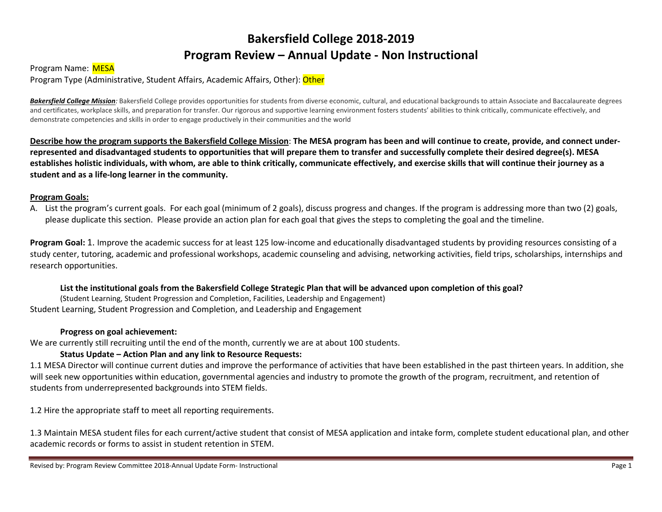# **Bakersfield College 2018-2019 Program Review – Annual Update - Non Instructional**

## Program Name: MESA

Program Type (Administrative, Student Affairs, Academic Affairs, Other): Other

**Bakersfield College Mission**: Bakersfield College provides opportunities for students from diverse economic, cultural, and educational backgrounds to attain Associate and Baccalaureate degrees and certificates, workplace skills, and preparation for transfer. Our rigorous and supportive learning environment fosters students' abilities to think critically, communicate effectively, and demonstrate competencies and skills in order to engage productively in their communities and the world

**Describe how the program supports the Bakersfield College Mission**: **The MESA program has been and will continue to create, provide, and connect underrepresented and disadvantaged students to opportunities that will prepare them to transfer and successfully complete their desired degree(s). MESA establishes holistic individuals, with whom, are able to think critically, communicate effectively, and exercise skills that will continue their journey as a student and as a life-long learner in the community.**

#### **Program Goals:**

A. List the program's current goals. For each goal (minimum of 2 goals), discuss progress and changes. If the program is addressing more than two (2) goals, please duplicate this section. Please provide an action plan for each goal that gives the steps to completing the goal and the timeline.

**Program Goal:** 1. Improve the academic success for at least 125 low-income and educationally disadvantaged students by providing resources consisting of a study center, tutoring, academic and professional workshops, academic counseling and advising, networking activities, field trips, scholarships, internships and research opportunities.

#### **List the institutional goals from the Bakersfield College Strategic Plan that will be advanced upon completion of this goal?**

(Student Learning, Student Progression and Completion, Facilities, Leadership and Engagement) Student Learning, Student Progression and Completion, and Leadership and Engagement

#### **Progress on goal achievement:**

We are currently still recruiting until the end of the month, currently we are at about 100 students.

## **Status Update – Action Plan and any link to Resource Requests:**

1.1 MESA Director will continue current duties and improve the performance of activities that have been established in the past thirteen years. In addition, she will seek new opportunities within education, governmental agencies and industry to promote the growth of the program, recruitment, and retention of students from underrepresented backgrounds into STEM fields.

1.2 Hire the appropriate staff to meet all reporting requirements.

1.3 Maintain MESA student files for each current/active student that consist of MESA application and intake form, complete student educational plan, and other academic records or forms to assist in student retention in STEM.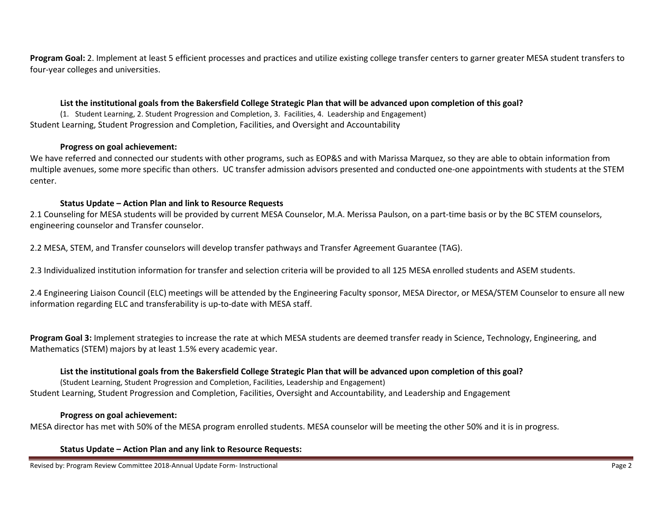**Program Goal:** 2. Implement at least 5 efficient processes and practices and utilize existing college transfer centers to garner greater MESA student transfers to four-year colleges and universities.

#### **List the institutional goals from the Bakersfield College Strategic Plan that will be advanced upon completion of this goal?**

(1. Student Learning, 2. Student Progression and Completion, 3. Facilities, 4. Leadership and Engagement) Student Learning, Student Progression and Completion, Facilities, and Oversight and Accountability

#### **Progress on goal achievement:**

We have referred and connected our students with other programs, such as EOP&S and with Marissa Marquez, so they are able to obtain information from multiple avenues, some more specific than others. UC transfer admission advisors presented and conducted one-one appointments with students at the STEM center.

#### **Status Update – Action Plan and link to Resource Requests**

2.1 Counseling for MESA students will be provided by current MESA Counselor, M.A. Merissa Paulson, on a part-time basis or by the BC STEM counselors, engineering counselor and Transfer counselor.

2.2 MESA, STEM, and Transfer counselors will develop transfer pathways and Transfer Agreement Guarantee (TAG).

2.3 Individualized institution information for transfer and selection criteria will be provided to all 125 MESA enrolled students and ASEM students.

2.4 Engineering Liaison Council (ELC) meetings will be attended by the Engineering Faculty sponsor, MESA Director, or MESA/STEM Counselor to ensure all new information regarding ELC and transferability is up-to-date with MESA staff.

**Program Goal 3:** Implement strategies to increase the rate at which MESA students are deemed transfer ready in Science, Technology, Engineering, and Mathematics (STEM) majors by at least 1.5% every academic year.

## **List the institutional goals from the Bakersfield College Strategic Plan that will be advanced upon completion of this goal?**

(Student Learning, Student Progression and Completion, Facilities, Leadership and Engagement) Student Learning, Student Progression and Completion, Facilities, Oversight and Accountability, and Leadership and Engagement

## **Progress on goal achievement:**

MESA director has met with 50% of the MESA program enrolled students. MESA counselor will be meeting the other 50% and it is in progress.

**Status Update – Action Plan and any link to Resource Requests:**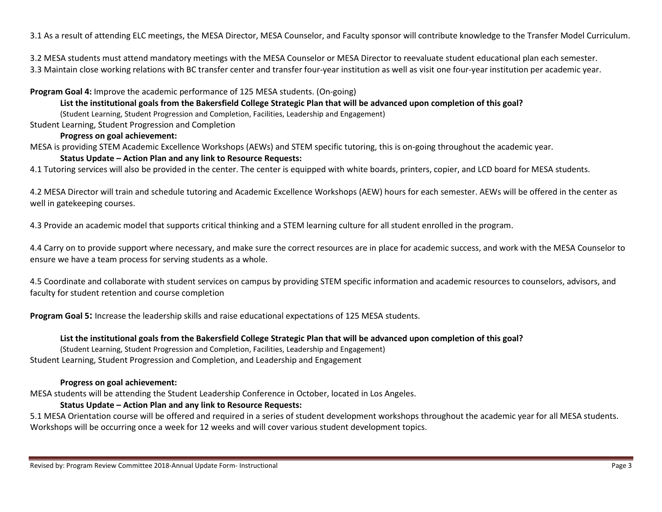3.1 As a result of attending ELC meetings, the MESA Director, MESA Counselor, and Faculty sponsor will contribute knowledge to the Transfer Model Curriculum.

3.2 MESA students must attend mandatory meetings with the MESA Counselor or MESA Director to reevaluate student educational plan each semester. 3.3 Maintain close working relations with BC transfer center and transfer four-year institution as well as visit one four-year institution per academic year.

**Program Goal 4:** Improve the academic performance of 125 MESA students. (On-going)

**List the institutional goals from the Bakersfield College Strategic Plan that will be advanced upon completion of this goal?** 

(Student Learning, Student Progression and Completion, Facilities, Leadership and Engagement)

Student Learning, Student Progression and Completion

## **Progress on goal achievement:**

MESA is providing STEM Academic Excellence Workshops (AEWs) and STEM specific tutoring, this is on-going throughout the academic year.

# **Status Update – Action Plan and any link to Resource Requests:**

4.1 Tutoring services will also be provided in the center. The center is equipped with white boards, printers, copier, and LCD board for MESA students.

4.2 MESA Director will train and schedule tutoring and Academic Excellence Workshops (AEW) hours for each semester. AEWs will be offered in the center as well in gatekeeping courses.

4.3 Provide an academic model that supports critical thinking and a STEM learning culture for all student enrolled in the program.

4.4 Carry on to provide support where necessary, and make sure the correct resources are in place for academic success, and work with the MESA Counselor to ensure we have a team process for serving students as a whole.

4.5 Coordinate and collaborate with student services on campus by providing STEM specific information and academic resources to counselors, advisors, and faculty for student retention and course completion

**Program Goal 5:** Increase the leadership skills and raise educational expectations of 125 MESA students.

## **List the institutional goals from the Bakersfield College Strategic Plan that will be advanced upon completion of this goal?**

(Student Learning, Student Progression and Completion, Facilities, Leadership and Engagement)

Student Learning, Student Progression and Completion, and Leadership and Engagement

## **Progress on goal achievement:**

MESA students will be attending the Student Leadership Conference in October, located in Los Angeles.

## **Status Update – Action Plan and any link to Resource Requests:**

5.1 MESA Orientation course will be offered and required in a series of student development workshops throughout the academic year for all MESA students. Workshops will be occurring once a week for 12 weeks and will cover various student development topics.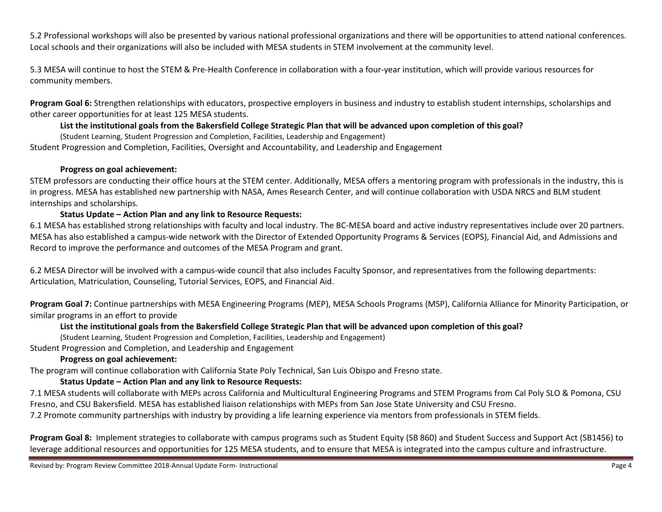5.2 Professional workshops will also be presented by various national professional organizations and there will be opportunities to attend national conferences. Local schools and their organizations will also be included with MESA students in STEM involvement at the community level.

5.3 MESA will continue to host the STEM & Pre-Health Conference in collaboration with a four-year institution, which will provide various resources for community members.

**Program Goal 6:** Strengthen relationships with educators, prospective employers in business and industry to establish student internships, scholarships and other career opportunities for at least 125 MESA students.

# **List the institutional goals from the Bakersfield College Strategic Plan that will be advanced upon completion of this goal?**

(Student Learning, Student Progression and Completion, Facilities, Leadership and Engagement)

Student Progression and Completion, Facilities, Oversight and Accountability, and Leadership and Engagement

## **Progress on goal achievement:**

STEM professors are conducting their office hours at the STEM center. Additionally, MESA offers a mentoring program with professionals in the industry, this is in progress. MESA has established new partnership with NASA, Ames Research Center, and will continue collaboration with USDA NRCS and BLM student internships and scholarships.

## **Status Update – Action Plan and any link to Resource Requests:**

6.1 MESA has established strong relationships with faculty and local industry. The BC-MESA board and active industry representatives include over 20 partners. MESA has also established a campus-wide network with the Director of Extended Opportunity Programs & Services (EOPS), Financial Aid, and Admissions and Record to improve the performance and outcomes of the MESA Program and grant.

6.2 MESA Director will be involved with a campus-wide council that also includes Faculty Sponsor, and representatives from the following departments: Articulation, Matriculation, Counseling, Tutorial Services, EOPS, and Financial Aid.

**Program Goal 7:** Continue partnerships with MESA Engineering Programs (MEP), MESA Schools Programs (MSP), California Alliance for Minority Participation, or similar programs in an effort to provide

## **List the institutional goals from the Bakersfield College Strategic Plan that will be advanced upon completion of this goal?**

(Student Learning, Student Progression and Completion, Facilities, Leadership and Engagement)

Student Progression and Completion, and Leadership and Engagement

# **Progress on goal achievement:**

The program will continue collaboration with California State Poly Technical, San Luis Obispo and Fresno state.

# **Status Update – Action Plan and any link to Resource Requests:**

7.1 MESA students will collaborate with MEPs across California and Multicultural Engineering Programs and STEM Programs from Cal Poly SLO & Pomona, CSU Fresno, and CSU Bakersfield. MESA has established liaison relationships with MEPs from San Jose State University and CSU Fresno.

7.2 Promote community partnerships with industry by providing a life learning experience via mentors from professionals in STEM fields.

**Program Goal 8:** Implement strategies to collaborate with campus programs such as Student Equity (SB 860) and Student Success and Support Act (SB1456) to leverage additional resources and opportunities for 125 MESA students, and to ensure that MESA is integrated into the campus culture and infrastructure.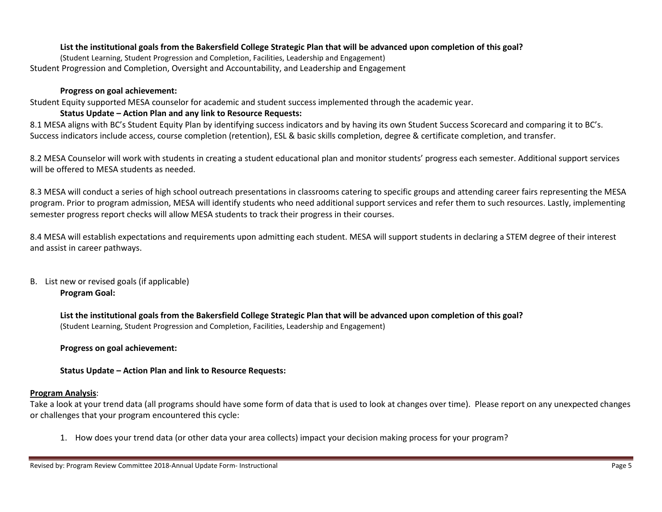## **List the institutional goals from the Bakersfield College Strategic Plan that will be advanced upon completion of this goal?**

(Student Learning, Student Progression and Completion, Facilities, Leadership and Engagement) Student Progression and Completion, Oversight and Accountability, and Leadership and Engagement

#### **Progress on goal achievement:**

Student Equity supported MESA counselor for academic and student success implemented through the academic year.

#### **Status Update – Action Plan and any link to Resource Requests:**

8.1 MESA aligns with BC's Student Equity Plan by identifying success indicators and by having its own Student Success Scorecard and comparing it to BC's. Success indicators include access, course completion (retention), ESL & basic skills completion, degree & certificate completion, and transfer.

8.2 MESA Counselor will work with students in creating a student educational plan and monitor students' progress each semester. Additional support services will be offered to MESA students as needed.

8.3 MESA will conduct a series of high school outreach presentations in classrooms catering to specific groups and attending career fairs representing the MESA program. Prior to program admission, MESA will identify students who need additional support services and refer them to such resources. Lastly, implementing semester progress report checks will allow MESA students to track their progress in their courses.

8.4 MESA will establish expectations and requirements upon admitting each student. MESA will support students in declaring a STEM degree of their interest and assist in career pathways.

## B. List new or revised goals (if applicable) **Program Goal:**

**List the institutional goals from the Bakersfield College Strategic Plan that will be advanced upon completion of this goal?**  (Student Learning, Student Progression and Completion, Facilities, Leadership and Engagement)

**Progress on goal achievement:**

**Status Update – Action Plan and link to Resource Requests:**

## **Program Analysis**:

Take a look at your trend data (all programs should have some form of data that is used to look at changes over time). Please report on any unexpected changes or challenges that your program encountered this cycle:

1. How does your trend data (or other data your area collects) impact your decision making process for your program?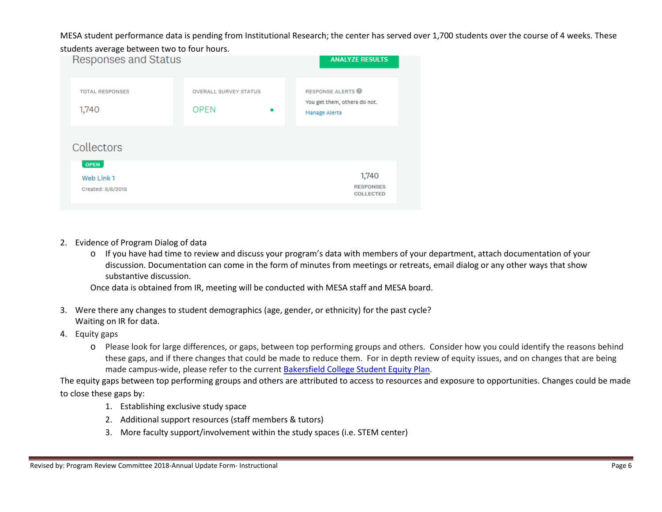MESA student performance data is pending from Institutional Research; the center has served over 1,700 students over the course of 4 weeks. These



- 2. Evidence of Program Dialog of data
	- o If you have had time to review and discuss your program's data with members of your department, attach documentation of your discussion. Documentation can come in the form of minutes from meetings or retreats, email dialog or any other ways that show substantive discussion.

Once data is obtained from IR, meeting will be conducted with MESA staff and MESA board.

- 3. Were there any changes to student demographics (age, gender, or ethnicity) for the past cycle? Waiting on IR for data.
- 4. Equity gaps
	- o Please look for large differences, or gaps, between top performing groups and others. Consider how you could identify the reasons behind these gaps, and if there changes that could be made to reduce them. For in depth review of equity issues, and on changes that are being made campus-wide, please refer to the current [Bakersfield College Student Equity Plan.](https://www.bakersfieldcollege.edu/sites/bakersfieldcollege.edu/files/2015-18_StudentEquityPlan.pdf)

The equity gaps between top performing groups and others are attributed to access to resources and exposure to opportunities. Changes could be made to close these gaps by:

- 1. Establishing exclusive study space
- 2. Additional support resources (staff members & tutors)
- 3. More faculty support/involvement within the study spaces (i.e. STEM center)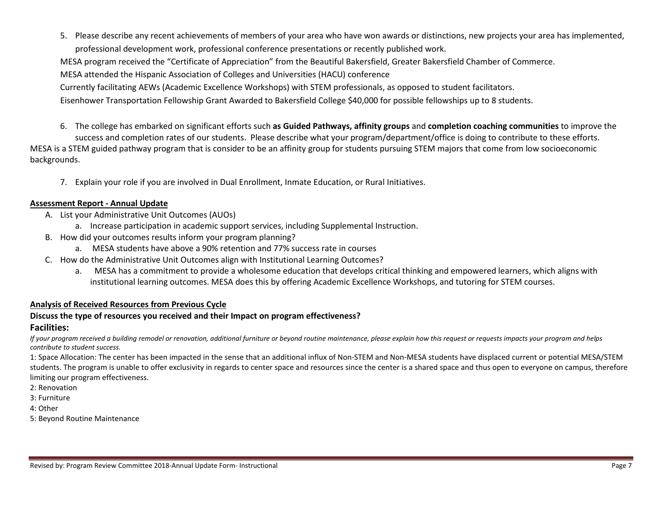5. Please describe any recent achievements of members of your area who have won awards or distinctions, new projects your area has implemented, professional development work, professional conference presentations or recently published work.

MESA program received the "Certificate of Appreciation" from the Beautiful Bakersfield, Greater Bakersfield Chamber of Commerce.

MESA attended the Hispanic Association of Colleges and Universities (HACU) conference

Currently facilitating AEWs (Academic Excellence Workshops) with STEM professionals, as opposed to student facilitators.

Eisenhower Transportation Fellowship Grant Awarded to Bakersfield College \$40,000 for possible fellowships up to 8 students.

6. The college has embarked on significant efforts such **as Guided Pathways, affinity groups** and **completion coaching communities** to improve the

success and completion rates of our students. Please describe what your program/department/office is doing to contribute to these efforts. MESA is a STEM guided pathway program that is consider to be an affinity group for students pursuing STEM majors that come from low socioeconomic backgrounds.

7. Explain your role if you are involved in Dual Enrollment, Inmate Education, or Rural Initiatives.

#### **Assessment Report - Annual Update**

- A. List your Administrative Unit Outcomes (AUOs)
	- a. Increase participation in academic support services, including Supplemental Instruction.
- B. How did your outcomes results inform your program planning?
	- a. MESA students have above a 90% retention and 77% success rate in courses
- C. How do the Administrative Unit Outcomes align with Institutional Learning Outcomes?
	- a. MESA has a commitment to provide a wholesome education that develops critical thinking and empowered learners, which aligns with institutional learning outcomes. MESA does this by offering Academic Excellence Workshops, and tutoring for STEM courses.

## **Analysis of Received Resources from Previous Cycle**

## **Discuss the type of resources you received and their Impact on program effectiveness?**

## **Facilities:**

*If your program received a building remodel or renovation, additional furniture or beyond routine maintenance, please explain how this request or requests impacts your program and helps contribute to student success.*

1: Space Allocation: The center has been impacted in the sense that an additional influx of Non-STEM and Non-MESA students have displaced current or potential MESA/STEM students. The program is unable to offer exclusivity in regards to center space and resources since the center is a shared space and thus open to everyone on campus, therefore limiting our program effectiveness.

- 2: Renovation
- 3: Furniture
- 4: Other
- 5: Beyond Routine Maintenance